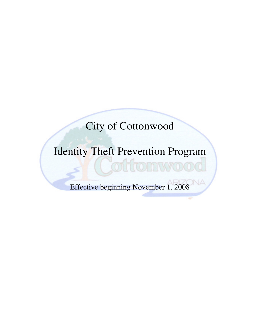# City of Cottonwood

# Identity Theft Prevention Program

Effective beginning November 1, 2008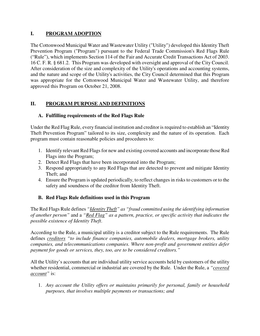# **I. PROGRAM ADOPTION**

The Cottonwood Municipal Water and Wastewater Utility ("Utility") developed this Identity Theft Prevention Program ("Program") pursuant to the Federal Trade Commission's Red Flags Rule ("Rule"), which implements Section 114 of the Fair and Accurate Credit Transactions Act of 2003. 16 C. F. R. § 681.2. This Program was developed with oversight and approval of the City Council. After consideration of the size and complexity of the Utility's operations and accounting systems, and the nature and scope of the Utility's activities, the City Council determined that this Program was appropriate for the Cottonwood Municipal Water and Wastewater Utility, and therefore approved this Program on October 21, 2008.

# **II. PROGRAM PURPOSE AND DEFINITIONS**

# **A. Fulfilling requirements of the Red Flags Rule**

Under the Red Flag Rule, every financial institution and creditor is required to establish an "Identity Theft Prevention Program" tailored to its size, complexity and the nature of its operation. Each program must contain reasonable policies and procedures to:

- 1. Identify relevant Red Flags for new and existing covered accounts and incorporate those Red Flags into the Program;
- 2. Detect Red Flags that have been incorporated into the Program;
- 3. Respond appropriately to any Red Flags that are detected to prevent and mitigate Identity Theft; and
- 4. Ensure the Program is updated periodically, to reflect changes in risks to customers or to the safety and soundness of the creditor from Identity Theft.

# **B. Red Flags Rule definitions used in this Program**

The Red Flags Rule defines *"Identity Theft" as "fraud committed using the identifying information of another person"* and a *"Red Flag" as a pattern, practice, or specific activity that indicates the possible existence of Identity Theft*.

According to the Rule, a municipal utility is a creditor subject to the Rule requirements. The Rule defines *creditors "to include finance companies, automobile dealers, mortgage brokers, utility companies, and telecommunications companies. Where non-profit and government entities defer payment for goods or services, they, too, are to be considered creditors."* 

All the Utility's accounts that are individual utility service accounts held by customers of the utility whether residential, commercial or industrial are covered by the Rule. Under the Rule, a *"covered account"* is:

1. *Any account the Utility offers or maintains primarily for personal, family or household purposes, that involves multiple payments or transactions; and*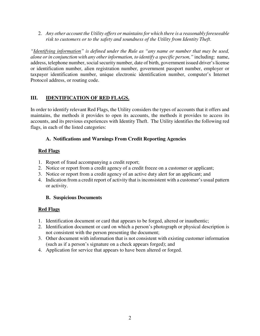2. *Any other account the Utility offers or maintains for which there is a reasonably foreseeable risk to customers or to the safety and soundness of the Utility from Identity Theft*.

*"Identifying information" is defined under the Rule as "any name or number that may be used, alone or in conjunction with any other information, to identify a specific person,"* including: name, address, telephone number, social security number, date of birth, government issued driver's license or identification number, alien registration number, government passport number, employer or taxpayer identification number, unique electronic identification number, computer's Internet Protocol address, or routing code.

# **III. IDENTIFICATION OF RED FLAGS.**

In order to identify relevant Red Flags, the Utility considers the types of accounts that it offers and maintains, the methods it provides to open its accounts, the methods it provides to access its accounts, and its previous experiences with Identity Theft. The Utility identifies the following red flags, in each of the listed categories:

## **A. Notifications and Warnings From Credit Reporting Agencies**

# **Red Flags**

- 1. Report of fraud accompanying a credit report;
- 2. Notice or report from a credit agency of a credit freeze on a customer or applicant;
- 3. Notice or report from a credit agency of an active duty alert for an applicant; and
- 4. Indication from a credit report of activity that is inconsistent with a customer's usual pattern or activity.

# **B. Suspicious Documents**

# **Red Flags**

- 1. Identification document or card that appears to be forged, altered or inauthentic;
- 2. Identification document or card on which a person's photograph or physical description is not consistent with the person presenting the document;
- 3. Other document with information that is not consistent with existing customer information (such as if a person's signature on a check appears forged); and
- 4. Application for service that appears to have been altered or forged.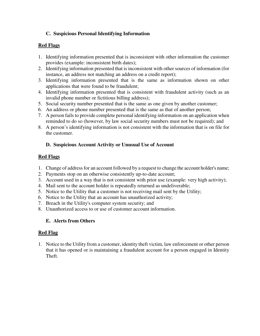# **C. Suspicious Personal Identifying Information**

### **Red Flags**

- 1. Identifying information presented that is inconsistent with other information the customer provides (example: inconsistent birth dates);
- 2. Identifying information presented that is inconsistent with other sources of information (for instance, an address not matching an address on a credit report);
- 3. Identifying information presented that is the same as information shown on other applications that were found to be fraudulent;
- 4. Identifying information presented that is consistent with fraudulent activity (such as an invalid phone number or fictitious billing address);
- 5. Social security number presented that is the same as one given by another customer;
- 6. An address or phone number presented that is the same as that of another person;
- 7. A person fails to provide complete personal identifying information on an application when reminded to do so (however, by law social security numbers must not be required); and
- 8. A person's identifying information is not consistent with the information that is on file for the customer.

# **D. Suspicious Account Activity or Unusual Use of Account**

## **Red Flags**

- 1. Change of address for an account followed by a request to change the account holder's name;
- 2. Payments stop on an otherwise consistently up-to-date account;
- 3. Account used in a way that is not consistent with prior use (example: very high activity);
- 4. Mail sent to the account holder is repeatedly returned as undeliverable;
- 5. Notice to the Utility that a customer is not receiving mail sent by the Utility;
- 6. Notice to the Utility that an account has unauthorized activity;
- 7. Breach in the Utility's computer system security; and
- 8. Unauthorized access to or use of customer account information.

# **E. Alerts from Others**

# **Red Flag**

1. Notice to the Utility from a customer, identity theft victim, law enforcement or other person that it has opened or is maintaining a fraudulent account for a person engaged in Identity Theft.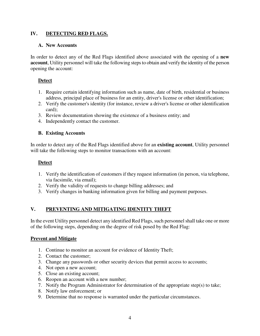## **IV. DETECTING RED FLAGS.**

#### **A. New Accounts**

In order to detect any of the Red Flags identified above associated with the opening of a **new account**, Utility personnel will take the following steps to obtain and verify the identity of the person opening the account:

### **Detect**

- 1. Require certain identifying information such as name, date of birth, residential or business address, principal place of business for an entity, driver's license or other identification;
- 2. Verify the customer's identity (for instance, review a driver's license or other identification card);
- 3. Review documentation showing the existence of a business entity; and
- 4. Independently contact the customer.

## **B. Existing Accounts**

In order to detect any of the Red Flags identified above for an **existing account**, Utility personnel will take the following steps to monitor transactions with an account:

## **Detect**

- 1. Verify the identification of customers if they request information (in person, via telephone, via facsimile, via email);
- 2. Verify the validity of requests to change billing addresses; and
- 3. Verify changes in banking information given for billing and payment purposes.

# **V. PREVENTING AND MITIGATING IDENTITY THEFT**

In the event Utility personnel detect any identified Red Flags, such personnel shall take one or more of the following steps, depending on the degree of risk posed by the Red Flag:

#### **Prevent and Mitigate**

- 1. Continue to monitor an account for evidence of Identity Theft;
- 2. Contact the customer;
- 3. Change any passwords or other security devices that permit access to accounts;
- 4. Not open a new account;
- 5. Close an existing account;
- 6. Reopen an account with a new number;
- 7. Notify the Program Administrator for determination of the appropriate step(s) to take;
- 8. Notify law enforcement; or
- 9. Determine that no response is warranted under the particular circumstances.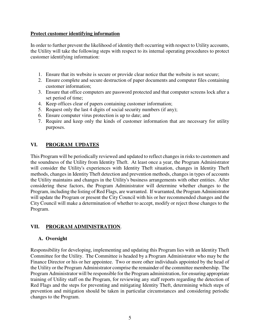#### **Protect customer identifying information**

In order to further prevent the likelihood of identity theft occurring with respect to Utility accounts, the Utility will take the following steps with respect to its internal operating procedures to protect customer identifying information:

- 1. Ensure that its website is secure or provide clear notice that the website is not secure;
- 2. Ensure complete and secure destruction of paper documents and computer files containing customer information;
- 3. Ensure that office computers are password protected and that computer screens lock after a set period of time;
- 4. Keep offices clear of papers containing customer information;
- 5. Request only the last 4 digits of social security numbers (if any);
- 6. Ensure computer virus protection is up to date; and
- 7. Require and keep only the kinds of customer information that are necessary for utility purposes.

# **VI. PROGRAM UPDATES**

This Program will be periodically reviewed and updated to reflect changes in risks to customers and the soundness of the Utility from Identity Theft. At least once a year, the Program Administrator will consider the Utility's experiences with Identity Theft situation, changes in Identity Theft methods, changes in Identity Theft detection and prevention methods, changes in types of accounts the Utility maintains and changes in the Utility's business arrangements with other entities. After considering these factors, the Program Administrator will determine whether changes to the Program, including the listing of Red Flags, are warranted. If warranted, the Program Administrator will update the Program or present the City Council with his or her recommended changes and the City Council will make a determination of whether to accept, modify or reject those changes to the Program.

# **VII. PROGRAM ADMINISTRATION**.

#### **A. Oversight**

Responsibility for developing, implementing and updating this Program lies with an Identity Theft Committee for the Utility. The Committee is headed by a Program Administrator who may be the Finance Director or his or her appointee. Two or more other individuals appointed by the head of the Utility or the Program Administrator comprise the remainder of the committee membership. The Program Administrator will be responsible for the Program administration, for ensuring appropriate training of Utility staff on the Program, for reviewing any staff reports regarding the detection of Red Flags and the steps for preventing and mitigating Identity Theft, determining which steps of prevention and mitigation should be taken in particular circumstances and considering periodic changes to the Program.